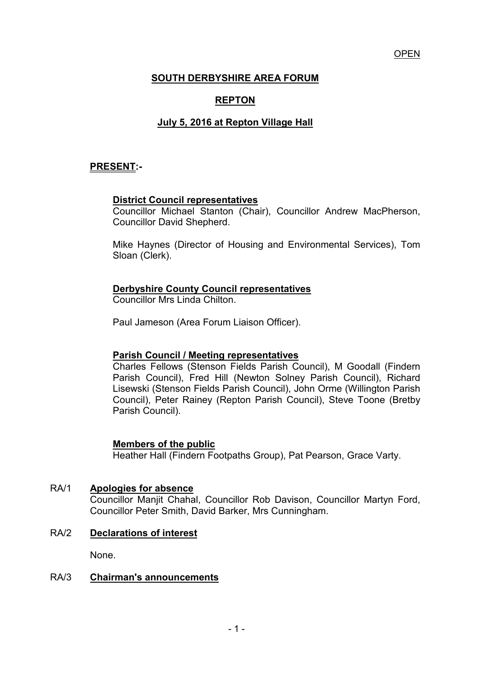OPEN

# **SOUTH DERBYSHIRE AREA FORUM**

# **REPTON**

# **July 5, 2016 at Repton Village Hall**

# **PRESENT:-**

#### **District Council representatives**

 Councillor Michael Stanton (Chair), Councillor Andrew MacPherson, Councillor David Shepherd.

Mike Haynes (Director of Housing and Environmental Services), Tom Sloan (Clerk).

#### **Derbyshire County Council representatives**

Councillor Mrs Linda Chilton.

Paul Jameson (Area Forum Liaison Officer).

#### **Parish Council / Meeting representatives**

 Charles Fellows (Stenson Fields Parish Council), M Goodall (Findern Parish Council), Fred Hill (Newton Solney Parish Council), Richard Lisewski (Stenson Fields Parish Council), John Orme (Willington Parish Council), Peter Rainey (Repton Parish Council), Steve Toone (Bretby Parish Council).

#### **Members of the public**

Heather Hall (Findern Footpaths Group), Pat Pearson, Grace Varty.

#### RA/1 **Apologies for absence**

 Councillor Manjit Chahal, Councillor Rob Davison, Councillor Martyn Ford, Councillor Peter Smith, David Barker, Mrs Cunningham.

#### RA/2 **Declarations of interest**

None.

#### RA/3 **Chairman's announcements**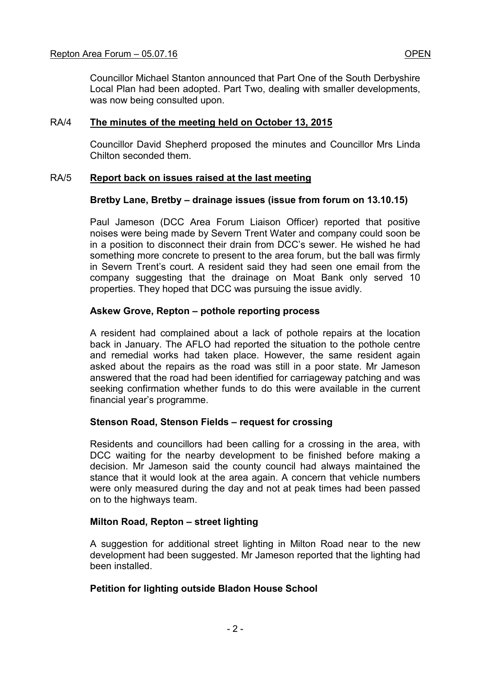#### Repton Area Forum – 05.07.16 **OPEN**

Councillor Michael Stanton announced that Part One of the South Derbyshire Local Plan had been adopted. Part Two, dealing with smaller developments, was now being consulted upon.

#### RA/4 **The minutes of the meeting held on October 13, 2015**

 Councillor David Shepherd proposed the minutes and Councillor Mrs Linda Chilton seconded them.

## RA/5 **Report back on issues raised at the last meeting**

## **Bretby Lane, Bretby – drainage issues (issue from forum on 13.10.15)**

Paul Jameson (DCC Area Forum Liaison Officer) reported that positive noises were being made by Severn Trent Water and company could soon be in a position to disconnect their drain from DCC's sewer. He wished he had something more concrete to present to the area forum, but the ball was firmly in Severn Trent's court. A resident said they had seen one email from the company suggesting that the drainage on Moat Bank only served 10 properties. They hoped that DCC was pursuing the issue avidly.

#### **Askew Grove, Repton – pothole reporting process**

A resident had complained about a lack of pothole repairs at the location back in January. The AFLO had reported the situation to the pothole centre and remedial works had taken place. However, the same resident again asked about the repairs as the road was still in a poor state. Mr Jameson answered that the road had been identified for carriageway patching and was seeking confirmation whether funds to do this were available in the current financial year's programme.

#### **Stenson Road, Stenson Fields – request for crossing**

Residents and councillors had been calling for a crossing in the area, with DCC waiting for the nearby development to be finished before making a decision. Mr Jameson said the county council had always maintained the stance that it would look at the area again. A concern that vehicle numbers were only measured during the day and not at peak times had been passed on to the highways team.

#### **Milton Road, Repton – street lighting**

A suggestion for additional street lighting in Milton Road near to the new development had been suggested. Mr Jameson reported that the lighting had been installed.

# **Petition for lighting outside Bladon House School**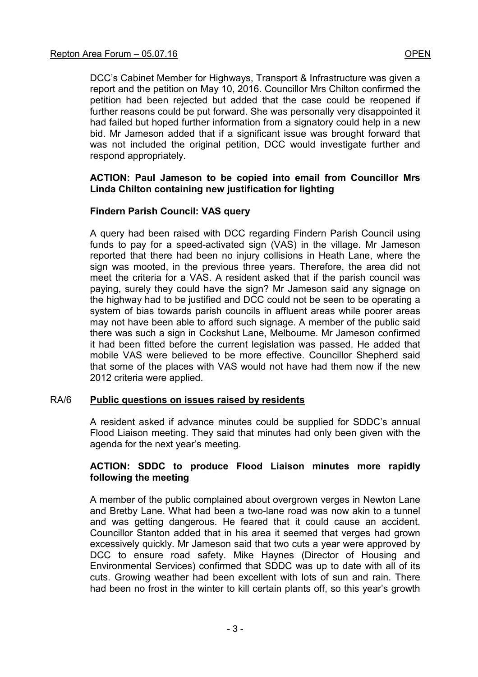DCC's Cabinet Member for Highways, Transport & Infrastructure was given a report and the petition on May 10, 2016. Councillor Mrs Chilton confirmed the petition had been rejected but added that the case could be reopened if further reasons could be put forward. She was personally very disappointed it had failed but hoped further information from a signatory could help in a new bid. Mr Jameson added that if a significant issue was brought forward that was not included the original petition, DCC would investigate further and respond appropriately.

#### **ACTION: Paul Jameson to be copied into email from Councillor Mrs Linda Chilton containing new justification for lighting**

## **Findern Parish Council: VAS query**

A query had been raised with DCC regarding Findern Parish Council using funds to pay for a speed-activated sign (VAS) in the village. Mr Jameson reported that there had been no injury collisions in Heath Lane, where the sign was mooted, in the previous three years. Therefore, the area did not meet the criteria for a VAS. A resident asked that if the parish council was paying, surely they could have the sign? Mr Jameson said any signage on the highway had to be justified and DCC could not be seen to be operating a system of bias towards parish councils in affluent areas while poorer areas may not have been able to afford such signage. A member of the public said there was such a sign in Cockshut Lane, Melbourne. Mr Jameson confirmed it had been fitted before the current legislation was passed. He added that mobile VAS were believed to be more effective. Councillor Shepherd said that some of the places with VAS would not have had them now if the new 2012 criteria were applied.

#### RA/6 **Public questions on issues raised by residents**

A resident asked if advance minutes could be supplied for SDDC's annual Flood Liaison meeting. They said that minutes had only been given with the agenda for the next year's meeting.

## **ACTION: SDDC to produce Flood Liaison minutes more rapidly following the meeting**

A member of the public complained about overgrown verges in Newton Lane and Bretby Lane. What had been a two-lane road was now akin to a tunnel and was getting dangerous. He feared that it could cause an accident. Councillor Stanton added that in his area it seemed that verges had grown excessively quickly. Mr Jameson said that two cuts a year were approved by DCC to ensure road safety. Mike Haynes (Director of Housing and Environmental Services) confirmed that SDDC was up to date with all of its cuts. Growing weather had been excellent with lots of sun and rain. There had been no frost in the winter to kill certain plants off, so this year's growth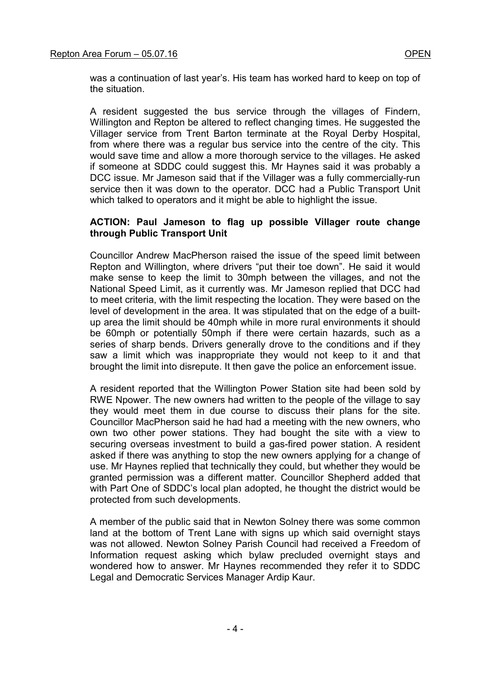was a continuation of last year's. His team has worked hard to keep on top of the situation.

A resident suggested the bus service through the villages of Findern, Willington and Repton be altered to reflect changing times. He suggested the Villager service from Trent Barton terminate at the Royal Derby Hospital, from where there was a regular bus service into the centre of the city. This would save time and allow a more thorough service to the villages. He asked if someone at SDDC could suggest this. Mr Haynes said it was probably a DCC issue. Mr Jameson said that if the Villager was a fully commercially-run service then it was down to the operator. DCC had a Public Transport Unit which talked to operators and it might be able to highlight the issue.

### **ACTION: Paul Jameson to flag up possible Villager route change through Public Transport Unit**

Councillor Andrew MacPherson raised the issue of the speed limit between Repton and Willington, where drivers "put their toe down". He said it would make sense to keep the limit to 30mph between the villages, and not the National Speed Limit, as it currently was. Mr Jameson replied that DCC had to meet criteria, with the limit respecting the location. They were based on the level of development in the area. It was stipulated that on the edge of a builtup area the limit should be 40mph while in more rural environments it should be 60mph or potentially 50mph if there were certain hazards, such as a series of sharp bends. Drivers generally drove to the conditions and if they saw a limit which was inappropriate they would not keep to it and that brought the limit into disrepute. It then gave the police an enforcement issue.

A resident reported that the Willington Power Station site had been sold by RWE Npower. The new owners had written to the people of the village to say they would meet them in due course to discuss their plans for the site. Councillor MacPherson said he had had a meeting with the new owners, who own two other power stations. They had bought the site with a view to securing overseas investment to build a gas-fired power station. A resident asked if there was anything to stop the new owners applying for a change of use. Mr Haynes replied that technically they could, but whether they would be granted permission was a different matter. Councillor Shepherd added that with Part One of SDDC's local plan adopted, he thought the district would be protected from such developments.

A member of the public said that in Newton Solney there was some common land at the bottom of Trent Lane with signs up which said overnight stays was not allowed. Newton Solney Parish Council had received a Freedom of Information request asking which bylaw precluded overnight stays and wondered how to answer. Mr Haynes recommended they refer it to SDDC Legal and Democratic Services Manager Ardip Kaur.